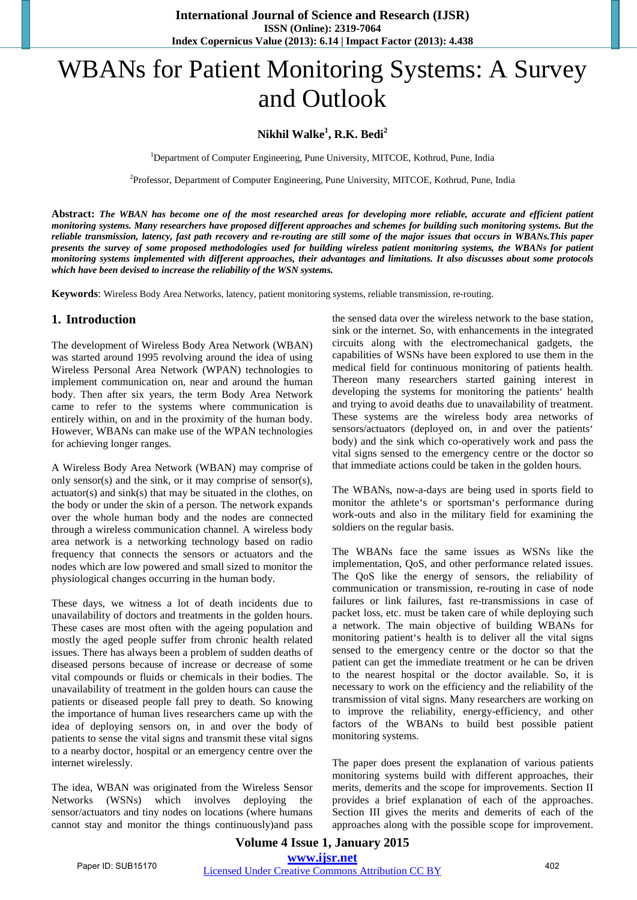# WBANs for Patient Monitoring Systems: A Survey and Outlook

## **Nikhil Walke<sup>1</sup> , R.K. Bedi<sup>2</sup>**

<sup>1</sup>Department of Computer Engineering, Pune University, MITCOE, Kothrud, Pune, India

<sup>2</sup>Professor, Department of Computer Engineering, Pune University, MITCOE, Kothrud, Pune, India

**Abstract:** *The WBAN has become one of the most researched areas for developing more reliable, accurate and efficient patient monitoring systems. Many researchers have proposed different approaches and schemes for building such monitoring systems. But the reliable transmission, latency, fast path recovery and re-routing are still some of the major issues that occurs in WBANs.This paper presents the survey of some proposed methodologies used for building wireless patient monitoring systems, the WBANs for patient monitoring systems implemented with different approaches, their advantages and limitations. It also discusses about some protocols which have been devised to increase the reliability of the WSN systems.*

**Keywords**: Wireless Body Area Networks, latency, patient monitoring systems, reliable transmission, re-routing.

### **1. Introduction**

The development of Wireless Body Area Network (WBAN) was started around 1995 revolving around the idea of using Wireless Personal Area Network (WPAN) technologies to implement communication on, near and around the human body. Then after six years, the term Body Area Network came to refer to the systems where communication is entirely within, on and in the proximity of the human body. However, WBANs can make use of the WPAN technologies for achieving longer ranges.

A Wireless Body Area Network (WBAN) may comprise of only sensor(s) and the sink, or it may comprise of sensor(s), actuator(s) and sink(s) that may be situated in the clothes, on the body or under the skin of a person. The network expands over the whole human body and the nodes are connected through a wireless communication channel. A wireless body area network is a networking technology based on radio frequency that connects the sensors or actuators and the nodes which are low powered and small sized to monitor the physiological changes occurring in the human body.

These days, we witness a lot of death incidents due to unavailability of doctors and treatments in the golden hours. These cases are most often with the ageing population and mostly the aged people suffer from chronic health related issues. There has always been a problem of sudden deaths of diseased persons because of increase or decrease of some vital compounds or fluids or chemicals in their bodies. The unavailability of treatment in the golden hours can cause the patients or diseased people fall prey to death. So knowing the importance of human lives researchers came up with the idea of deploying sensors on, in and over the body of patients to sense the vital signs and transmit these vital signs to a nearby doctor, hospital or an emergency centre over the internet wirelessly.

The idea, WBAN was originated from the Wireless Sensor Networks (WSNs) which involves deploying the sensor/actuators and tiny nodes on locations (where humans cannot stay and monitor the things continuously)and pass

the sensed data over the wireless network to the base station, sink or the internet. So, with enhancements in the integrated circuits along with the electromechanical gadgets, the capabilities of WSNs have been explored to use them in the medical field for continuous monitoring of patients health. Thereon many researchers started gaining interest in developing the systems for monitoring the patients' health and trying to avoid deaths due to unavailability of treatment. These systems are the wireless body area networks of sensors/actuators (deployed on, in and over the patients' body) and the sink which co-operatively work and pass the vital signs sensed to the emergency centre or the doctor so that immediate actions could be taken in the golden hours.

The WBANs, now-a-days are being used in sports field to monitor the athlete's or sportsman's performance during work-outs and also in the military field for examining the soldiers on the regular basis.

The WBANs face the same issues as WSNs like the implementation, QoS, and other performance related issues. The QoS like the energy of sensors, the reliability of communication or transmission, re-routing in case of node failures or link failures, fast re-transmissions in case of packet loss, etc. must be taken care of while deploying such a network. The main objective of building WBANs for monitoring patient's health is to deliver all the vital signs sensed to the emergency centre or the doctor so that the patient can get the immediate treatment or he can be driven to the nearest hospital or the doctor available. So, it is necessary to work on the efficiency and the reliability of the transmission of vital signs. Many researchers are working on to improve the reliability, energy-efficiency, and other factors of the WBANs to build best possible patient monitoring systems.

The paper does present the explanation of various patients monitoring systems build with different approaches, their merits, demerits and the scope for improvements. Section II provides a brief explanation of each of the approaches. Section III gives the merits and demerits of each of the approaches along with the possible scope for improvement.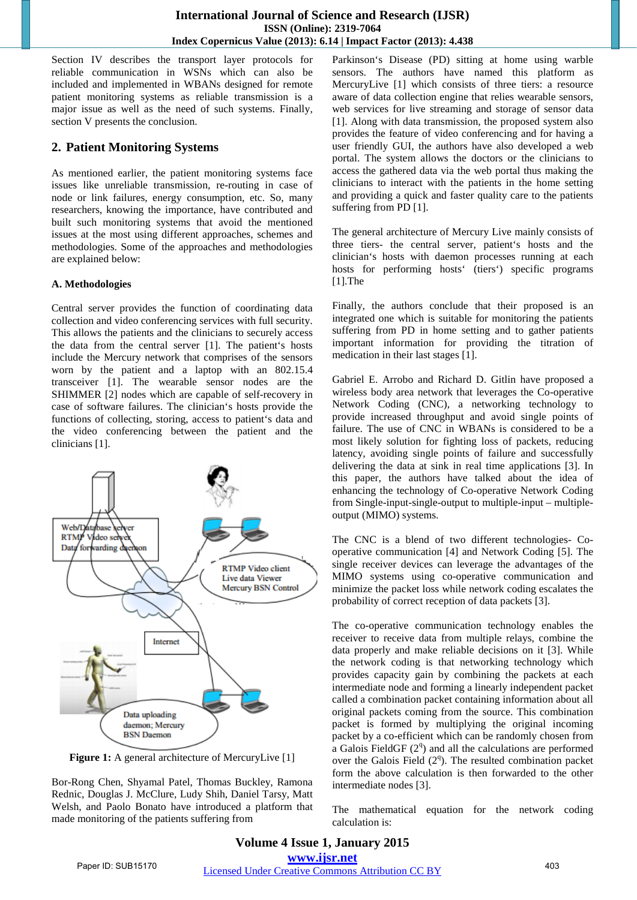Section IV describes the transport layer protocols for reliable communication in WSNs which can also be included and implemented in WBANs designed for remote patient monitoring systems as reliable transmission is a major issue as well as the need of such systems. Finally, section V presents the conclusion.

### **2. Patient Monitoring Systems**

As mentioned earlier, the patient monitoring systems face issues like unreliable transmission, re-routing in case of node or link failures, energy consumption, etc. So, many researchers, knowing the importance, have contributed and built such monitoring systems that avoid the mentioned issues at the most using different approaches, schemes and methodologies. Some of the approaches and methodologies are explained below:

#### **A. Methodologies**

Central server provides the function of coordinating data collection and video conferencing services with full security. This allows the patients and the clinicians to securely access the data from the central server [1]. The patient's hosts include the Mercury network that comprises of the sensors worn by the patient and a laptop with an 802.15.4 transceiver [1]. The wearable sensor nodes are the SHIMMER [2] nodes which are capable of self-recovery in case of software failures. The clinician's hosts provide the functions of collecting, storing, access to patient's data and the video conferencing between the patient and the clinicians [1].



**Figure 1:** A general architecture of MercuryLive [1]

Bor-Rong Chen, Shyamal Patel, Thomas Buckley, Ramona Rednic, Douglas J. McClure, Ludy Shih, Daniel Tarsy, Matt Welsh, and Paolo Bonato have introduced a platform that made monitoring of the patients suffering from

Parkinson's Disease (PD) sitting at home using warble sensors. The authors have named this platform as MercuryLive [1] which consists of three tiers: a resource aware of data collection engine that relies wearable sensors, web services for live streaming and storage of sensor data [1]. Along with data transmission, the proposed system also provides the feature of video conferencing and for having a user friendly GUI, the authors have also developed a web portal. The system allows the doctors or the clinicians to access the gathered data via the web portal thus making the clinicians to interact with the patients in the home setting and providing a quick and faster quality care to the patients suffering from PD [1].

The general architecture of Mercury Live mainly consists of three tiers- the central server, patient's hosts and the clinician's hosts with daemon processes running at each hosts for performing hosts' (tiers') specific programs [1].The

Finally, the authors conclude that their proposed is an integrated one which is suitable for monitoring the patients suffering from PD in home setting and to gather patients important information for providing the titration of medication in their last stages [1].

Gabriel E. Arrobo and Richard D. Gitlin have proposed a wireless body area network that leverages the Co-operative Network Coding (CNC), a networking technology to provide increased throughput and avoid single points of failure. The use of CNC in WBANs is considered to be a most likely solution for fighting loss of packets, reducing latency, avoiding single points of failure and successfully delivering the data at sink in real time applications [3]. In this paper, the authors have talked about the idea of enhancing the technology of Co-operative Network Coding from Single-input-single-output to multiple-input – multipleoutput (MIMO) systems.

The CNC is a blend of two different technologies- Cooperative communication [4] and Network Coding [5]. The single receiver devices can leverage the advantages of the MIMO systems using co-operative communication and minimize the packet loss while network coding escalates the probability of correct reception of data packets [3].

The co-operative communication technology enables the receiver to receive data from multiple relays, combine the data properly and make reliable decisions on it [3]. While the network coding is that networking technology which provides capacity gain by combining the packets at each intermediate node and forming a linearly independent packet called a combination packet containing information about all original packets coming from the source. This combination packet is formed by multiplying the original incoming packet by a co-efficient which can be randomly chosen from a Galois FieldGF  $(2<sup>q</sup>)$  and all the calculations are performed over the Galois Field  $(2<sup>q</sup>)$ . The resulted combination packet form the above calculation is then forwarded to the other intermediate nodes [3].

The mathematical equation for the network coding calculation is: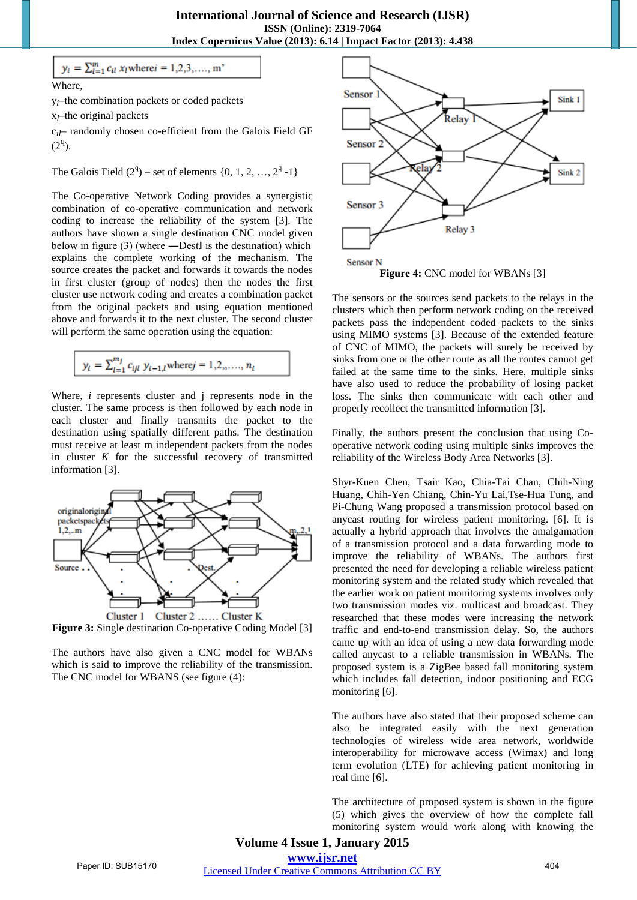Where,

y*i*–the combination packets or coded packets

 $y_i = \sum_{l=1}^{m} c_{il} x_l$  where  $i = 1, 2, 3, ..., m$ 

x*l*–the original packets

c*il*– randomly chosen co-efficient from the Galois Field GF  $(2^q)$ .

The Galois Field  $(2^q)$  – set of elements  $\{0, 1, 2, ..., 2^q -1\}$ 

The Co-operative Network Coding provides a synergistic combination of co-operative communication and network coding to increase the reliability of the system [3]. The authors have shown a single destination CNC model given below in figure  $(3)$  (where —Dest. If is the destination) which explains the complete working of the mechanism. The source creates the packet and forwards it towards the nodes in first cluster (group of nodes) then the nodes the first cluster use network coding and creates a combination packet from the original packets and using equation mentioned above and forwards it to the next cluster. The second cluster will perform the same operation using the equation:

$$
y_i = \sum_{l=1}^{m_j} c_{ijl} \; y_{i-1,l} \text{where} j = 1, 2, \dots, n_i
$$

Where, *i* represents cluster and j represents node in the cluster. The same process is then followed by each node in each cluster and finally transmits the packet to the destination using spatially different paths. The destination must receive at least m independent packets from the nodes in cluster  $K$  for the successful recovery of transmitted information [3].



**Figure 3:** Single destination Co-operative Coding Model [3]

The authors have also given a CNC model for WBANs which is said to improve the reliability of the transmission. The CNC model for WBANS (see figure (4):



**Figure 4: CNC model for WBANs [3]** 

The sensors or the sources send packets to the relays in the clusters which then perform network coding on the received packets pass the independent coded packets to the sinks using MIMO systems [3]. Because of the extended feature of CNC of MIMO, the packets will surely be received by sinks from one or the other route as all the routes cannot get failed at the same time to the sinks. Here, multiple sinks have also used to reduce the probability of losing packet loss. The sinks then communicate with each other and properly recollect the transmitted information [3].

Finally, the authors present the conclusion that using Cooperative network coding using multiple sinks improves the reliability of the Wireless Body Area Networks [3].

Shyr-Kuen Chen, Tsair Kao, Chia-Tai Chan, Chih-Ning Huang, Chih-Yen Chiang, Chin-Yu Lai,Tse-Hua Tung, and Pi-Chung Wang proposed a transmission protocol based on anycast routing for wireless patient monitoring. [6]. It is actually a hybrid approach that involves the amalgamation of a transmission protocol and a data forwarding mode to improve the reliability of WBANs. The authors first presented the need for developing a reliable wireless patient monitoring system and the related study which revealed that the earlier work on patient monitoring systems involves only two transmission modes viz. multicast and broadcast. They researched that these modes were increasing the network traffic and end-to-end transmission delay. So, the authors came up with an idea of using a new data forwarding mode called anycast to a reliable transmission in WBANs. The proposed system is a ZigBee based fall monitoring system which includes fall detection, indoor positioning and ECG monitoring [6].

The authors have also stated that their proposed scheme can also be integrated easily with the next generation technologies of wireless wide area network, worldwide interoperability for microwave access (Wimax) and long term evolution (LTE) for achieving patient monitoring in real time [6].

The architecture of proposed system is shown in the figure (5) which gives the overview of how the complete fall monitoring system would work along with knowing the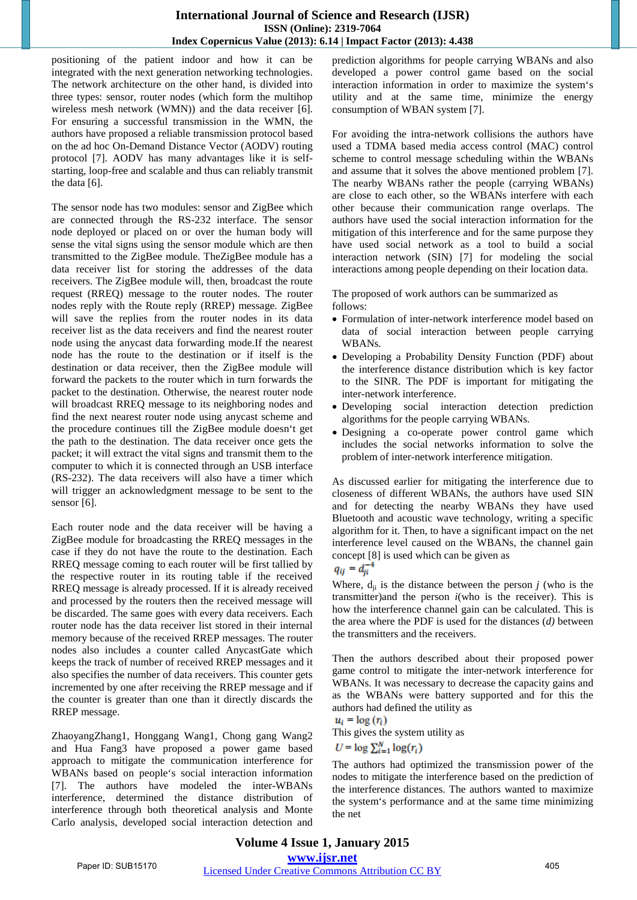#### **International Journal of Science and Research (IJSR) ISSN (Online): 2319-7064 Index Copernicus Value (2013): 6.14 | Impact Factor (2013): 4.438**

positioning of the patient indoor and how it can be integrated with the next generation networking technologies. The network architecture on the other hand, is divided into three types: sensor, router nodes (which form the multihop wireless mesh network (WMN)) and the data receiver [6]. For ensuring a successful transmission in the WMN, the authors have proposed a reliable transmission protocol based on the ad hoc On-Demand Distance Vector (AODV) routing protocol [7]. AODV has many advantages like it is selfstarting, loop-free and scalable and thus can reliably transmit the data [6].

The sensor node has two modules: sensor and ZigBee which are connected through the RS-232 interface. The sensor node deployed or placed on or over the human body will sense the vital signs using the sensor module which are then transmitted to the ZigBee module. TheZigBee module has a data receiver list for storing the addresses of the data receivers. The ZigBee module will, then, broadcast the route request (RREQ) message to the router nodes. The router nodes reply with the Route reply (RREP) message. ZigBee will save the replies from the router nodes in its data receiver list as the data receivers and find the nearest router node using the anycast data forwarding mode.If the nearest node has the route to the destination or if itself is the destination or data receiver, then the ZigBee module will forward the packets to the router which in turn forwards the packet to the destination. Otherwise, the nearest router node will broadcast RREQ message to its neighboring nodes and find the next nearest router node using anycast scheme and the procedure continues till the ZigBee module doesn't get the path to the destination. The data receiver once gets the packet; it will extract the vital signs and transmit them to the computer to which it is connected through an USB interface (RS-232). The data receivers will also have a timer which will trigger an acknowledgment message to be sent to the sensor [6].

Each router node and the data receiver will be having a ZigBee module for broadcasting the RREQ messages in the case if they do not have the route to the destination. Each RREQ message coming to each router will be first tallied by the respective router in its routing table if the received RREQ message is already processed. If it is already received and processed by the routers then the received message will be discarded. The same goes with every data receivers. Each router node has the data receiver list stored in their internal memory because of the received RREP messages. The router nodes also includes a counter called AnycastGate which keeps the track of number of received RREP messages and it also specifies the number of data receivers. This counter gets incremented by one after receiving the RREP message and if the counter is greater than one than it directly discards the RREP message.

ZhaoyangZhang1, Honggang Wang1, Chong gang Wang2 and Hua Fang3 have proposed a power game based approach to mitigate the communication interference for WBANs based on people's social interaction information [7]. The authors have modeled the inter-WBANs interference, determined the distance distribution of interference through both theoretical analysis and Monte Carlo analysis, developed social interaction detection and

prediction algorithms for people carrying WBANs and also developed a power control game based on the social interaction information in order to maximize the system's utility and at the same time, minimize the energy consumption of WBAN system [7].

For avoiding the intra-network collisions the authors have used a TDMA based media access control (MAC) control scheme to control message scheduling within the WBANs and assume that it solves the above mentioned problem [7]. The nearby WBANs rather the people (carrying WBANs) are close to each other, so the WBANs interfere with each other because their communication range overlaps. The authors have used the social interaction information for the mitigation of this interference and for the same purpose they have used social network as a tool to build a social interaction network (SIN) [7] for modeling the social interactions among people depending on their location data.

The proposed of work authors can be summarized as follows:

- Formulation of inter-network interference model based on data of social interaction between people carrying WBANs.
- Developing a Probability Density Function (PDF) about the interference distance distribution which is key factor to the SINR. The PDF is important for mitigating the inter-network interference.
- Developing social interaction detection prediction algorithms for the people carrying WBANs.
- Designing a co-operate power control game which includes the social networks information to solve the problem of inter-network interference mitigation.

As discussed earlier for mitigating the interference due to closeness of different WBANs, the authors have used SIN and for detecting the nearby WBANs they have used Bluetooth and acoustic wave technology, writing a specific algorithm for it. Then, to have a significant impact on the net interference level caused on the WBANs, the channel gain concept [8] is used which can be given as

Where,  $d_{ii}$  is the distance between the person  $j$  (who is the transmitter)and the person *i*(who is the receiver). This is how the interference channel gain can be calculated. This is the area where the PDF is used for the distances (*d)* between the transmitters and the receivers.

Then the authors described about their proposed power game control to mitigate the inter-network interference for WBANs. It was necessary to decrease the capacity gains and as the WBANs were battery supported and for this the authors had defined the utility as

 $u_i = \log(r_i)$ This gives the system utility as

 $U = \log \sum_{i=1}^{N} \log(r_i)$ 

The authors had optimized the transmission power of the nodes to mitigate the interference based on the prediction of the interference distances. The authors wanted to maximize the system's performance and at the same time minimizing the net

 $q_{ij} = d_{ji}^{-4}$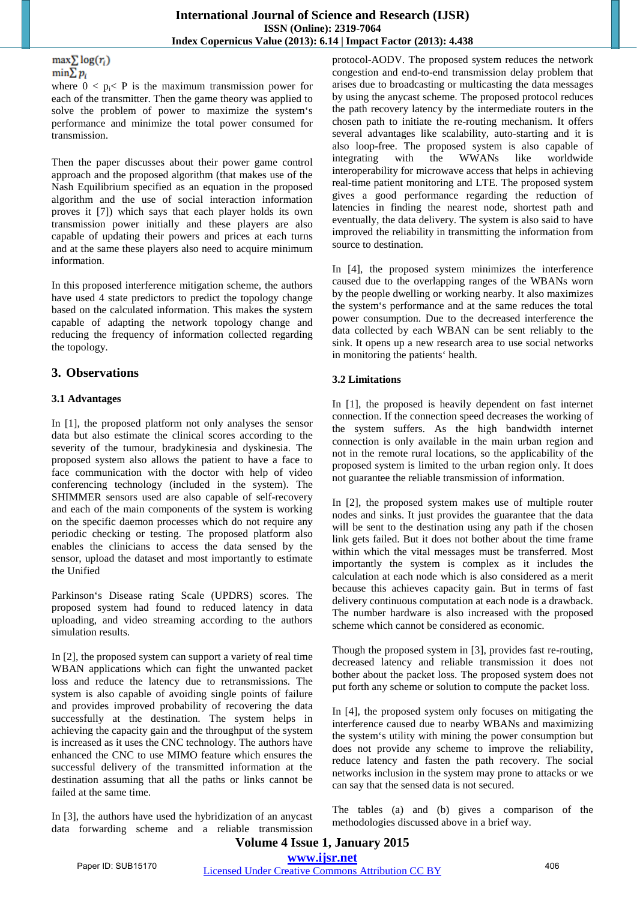#### $\max \sum log(r_i)$  $\min \sum p_i$

where  $0 < p_i < P$  is the maximum transmission power for each of the transmitter. Then the game theory was applied to solve the problem of power to maximize the system's performance and minimize the total power consumed for transmission.

Then the paper discusses about their power game control approach and the proposed algorithm (that makes use of the Nash Equilibrium specified as an equation in the proposed algorithm and the use of social interaction information proves it [7]) which says that each player holds its own transmission power initially and these players are also capable of updating their powers and prices at each turns and at the same these players also need to acquire minimum information.

In this proposed interference mitigation scheme, the authors have used 4 state predictors to predict the topology change based on the calculated information. This makes the system capable of adapting the network topology change and reducing the frequency of information collected regarding the topology.

## **3. Observations**

### **3.1 Advantages**

In [1], the proposed platform not only analyses the sensor data but also estimate the clinical scores according to the severity of the tumour, bradykinesia and dyskinesia. The proposed system also allows the patient to have a face to face communication with the doctor with help of video conferencing technology (included in the system). The SHIMMER sensors used are also capable of self-recovery and each of the main components of the system is working on the specific daemon processes which do not require any periodic checking or testing. The proposed platform also enables the clinicians to access the data sensed by the sensor, upload the dataset and most importantly to estimate the Unified

Parkinson's Disease rating Scale (UPDRS) scores. The proposed system had found to reduced latency in data uploading, and video streaming according to the authors simulation results.

In [2], the proposed system can support a variety of real time WBAN applications which can fight the unwanted packet loss and reduce the latency due to retransmissions. The system is also capable of avoiding single points of failure and provides improved probability of recovering the data successfully at the destination. The system helps in achieving the capacity gain and the throughput of the system is increased as it uses the CNC technology. The authors have enhanced the CNC to use MIMO feature which ensures the successful delivery of the transmitted information at the destination assuming that all the paths or links cannot be failed at the same time.

In [3], the authors have used the hybridization of an anycast data forwarding scheme and a reliable transmission protocol-AODV. The proposed system reduces the network congestion and end-to-end transmission delay problem that arises due to broadcasting or multicasting the data messages by using the anycast scheme. The proposed protocol reduces the path recovery latency by the intermediate routers in the chosen path to initiate the re-routing mechanism. It offers several advantages like scalability, auto-starting and it is also loop-free. The proposed system is also capable of integrating with the WWANs like worldwide interoperability for microwave access that helps in achieving real-time patient monitoring and LTE. The proposed system gives a good performance regarding the reduction of latencies in finding the nearest node, shortest path and eventually, the data delivery. The system is also said to have improved the reliability in transmitting the information from source to destination.

In [4], the proposed system minimizes the interference caused due to the overlapping ranges of the WBANs worn by the people dwelling or working nearby. It also maximizes the system's performance and at the same reduces the total power consumption. Due to the decreased interference the data collected by each WBAN can be sent reliably to the sink. It opens up a new research area to use social networks in monitoring the patients' health.

#### **3.2 Limitations**

In [1], the proposed is heavily dependent on fast internet connection. If the connection speed decreases the working of the system suffers. As the high bandwidth internet connection is only available in the main urban region and not in the remote rural locations, so the applicability of the proposed system is limited to the urban region only. It does not guarantee the reliable transmission of information.

In [2], the proposed system makes use of multiple router nodes and sinks. It just provides the guarantee that the data will be sent to the destination using any path if the chosen link gets failed. But it does not bother about the time frame within which the vital messages must be transferred. Most importantly the system is complex as it includes the calculation at each node which is also considered as a merit because this achieves capacity gain. But in terms of fast delivery continuous computation at each node is a drawback. The number hardware is also increased with the proposed scheme which cannot be considered as economic.

Though the proposed system in [3], provides fast re-routing, decreased latency and reliable transmission it does not bother about the packet loss. The proposed system does not put forth any scheme or solution to compute the packet loss.

In [4], the proposed system only focuses on mitigating the interference caused due to nearby WBANs and maximizing the system's utility with mining the power consumption but does not provide any scheme to improve the reliability, reduce latency and fasten the path recovery. The social networks inclusion in the system may prone to attacks or we can say that the sensed data is not secured.

The tables (a) and (b) gives a comparison of the methodologies discussed above in a brief way.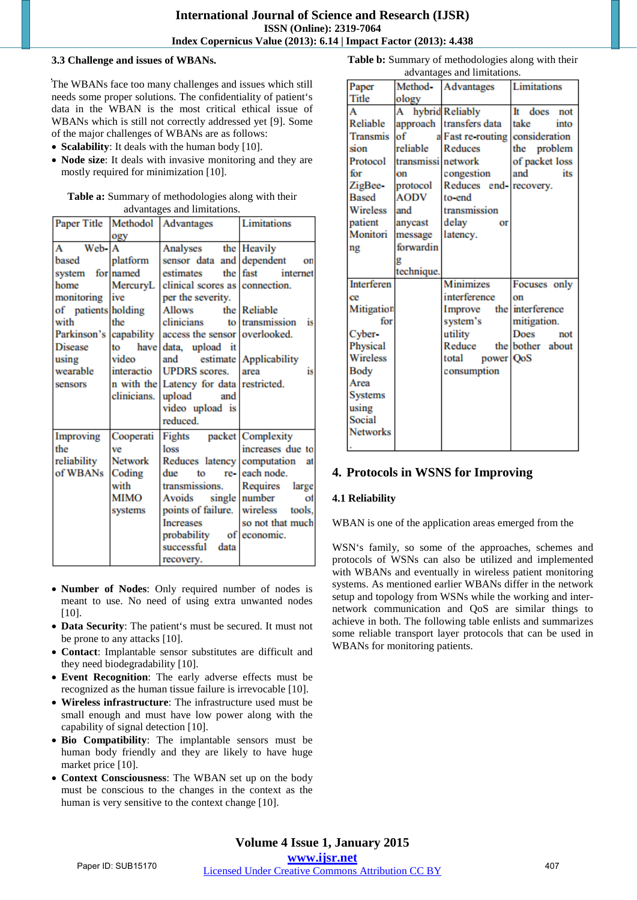#### **3.3 Challenge and issues of WBANs.**

The WBANs face too many challenges and issues which still needs some proper solutions. The confidentiality of patient's data in the WBAN is the most critical ethical issue of WBANs which is still not correctly addressed yet [9]. Some of the major challenges of WBANs are as follows:

- **Scalability**: It deals with the human body [10].
- **Node size**: It deals with invasive monitoring and they are mostly required for minimization [10].

| <b>Table a:</b> Summary of methodologies along with their |
|-----------------------------------------------------------|
| advantages and limitations.                               |

|                        |             | Paper Title Methodol Advantages                      | Limitations            |
|------------------------|-------------|------------------------------------------------------|------------------------|
|                        | ogy         |                                                      |                        |
| Web- <sup>A</sup><br>A |             | Analyses the Heavily                                 |                        |
| based                  | platform    | sensor data and dependent                            | on                     |
| system for named       |             | estimates                                            | the fast<br>internet   |
| home                   | MercuryL    | clinical scores as connection.                       |                        |
| monitoring             | ive         | per the severity.                                    |                        |
| of patients holding    |             | <b>Allows</b>                                        | the Reliable           |
| with                   | the         | clinicians                                           | to transmission is     |
|                        |             | Parkinson's capability access the sensor overlooked. |                        |
| <b>Disease</b>         | to          | have data, upload it                                 |                        |
| using                  | video       | and                                                  | estimate Applicability |
| wearable               | interactio  | <b>UPDRS</b> scores.                                 | area<br>is             |
| sensors                |             | n with the Latency for data restricted.              |                        |
|                        | clinicians. | upload<br>and                                        |                        |
|                        |             | video upload is                                      |                        |
|                        |             | reduced.                                             |                        |
| Improving              | Cooperati   | Fights packet Complexity                             |                        |
| the                    | ve          | loss                                                 | increases due to       |
| reliability            | Network     | Reduces latency computation                          | at                     |
| of WBANs               | Coding      | due<br>to                                            | re-leach node.         |
|                        | with        | transmissions.                                       | Requires large         |
|                        | <b>MIMO</b> | Avoids single number                                 | σf                     |
|                        | systems     | points of failure. wireless                          | tools.                 |
|                        |             | <b>Increases</b>                                     | so not that much       |
|                        |             | probability of economic.                             |                        |
|                        |             | successful<br>data                                   |                        |
|                        |             | recovery.                                            |                        |

- **Number of Nodes**: Only required number of nodes is meant to use. No need of using extra unwanted nodes [10].
- **Data Security**: The patient's must be secured. It must not be prone to any attacks [10].
- **Contact**: Implantable sensor substitutes are difficult and they need biodegradability [10].
- **Event Recognition**: The early adverse effects must be recognized as the human tissue failure is irrevocable [10].
- **Wireless infrastructure**: The infrastructure used must be small enough and must have low power along with the capability of signal detection [10].
- **Bio Compatibility**: The implantable sensors must be human body friendly and they are likely to have huge market price [10].
- **Context Consciousness**: The WBAN set up on the body must be conscious to the changes in the context as the human is very sensitive to the context change [10].

|                   | advantages and limitations. |                                 |                   |  |  |
|-------------------|-----------------------------|---------------------------------|-------------------|--|--|
| Paper             | Method-                     | Advantages                      | Limitations       |  |  |
| Title             | ology                       |                                 |                   |  |  |
| A                 | A                           | hybrid Reliably                 | Īt<br>does<br>not |  |  |
| Reliable          |                             | approach transfers data         | into<br>take      |  |  |
| <b>Transmis</b>   | of                          | a Fast re-routing consideration |                   |  |  |
| sion              | reliable                    | Reduces                         | the<br>problem    |  |  |
| Protocol          | transmissi network          |                                 | of packet loss    |  |  |
| for               | on                          | congestion                      | and<br>its        |  |  |
| ZigBee-           | protocol                    | Reduces end-recovery.           |                   |  |  |
| <b>Based</b>      | AODV                        | to-end                          |                   |  |  |
| <b>Wireless</b>   | and                         | transmission                    |                   |  |  |
| patient           | anycast                     | delay<br>or                     |                   |  |  |
| Monitori          | message                     | latency.                        |                   |  |  |
| ng                | forwardin                   |                                 |                   |  |  |
|                   | g                           |                                 |                   |  |  |
|                   | technique.                  |                                 |                   |  |  |
| <b>Interferen</b> |                             | <b>Minimizes</b>                | Focuses only      |  |  |
| ce                |                             | interference                    | on                |  |  |
| Mitigation        |                             | Improve                         | the interference  |  |  |
| for               |                             | system's                        | mitigation.       |  |  |
| Cyber-            |                             | utility                         | Does<br>not       |  |  |
| Physical          |                             | Reduce                          | the bother about  |  |  |
| Wireless          |                             | power QoS<br>total              |                   |  |  |
| <b>Body</b>       |                             | consumption                     |                   |  |  |
| Area              |                             |                                 |                   |  |  |
| <b>Systems</b>    |                             |                                 |                   |  |  |
| using             |                             |                                 |                   |  |  |
| Social            |                             |                                 |                   |  |  |
| <b>Networks</b>   |                             |                                 |                   |  |  |
|                   |                             |                                 |                   |  |  |

**Table b:** Summary of methodologies along with their

## **4. Protocols in WSNS for Improving**

#### **4.1 Reliability**

WBAN is one of the application areas emerged from the

WSN's family, so some of the approaches, schemes and protocols of WSNs can also be utilized and implemented with WBANs and eventually in wireless patient monitoring systems. As mentioned earlier WBANs differ in the network setup and topology from WSNs while the working and internetwork communication and QoS are similar things to achieve in both. The following table enlists and summarizes some reliable transport layer protocols that can be used in WBANs for monitoring patients.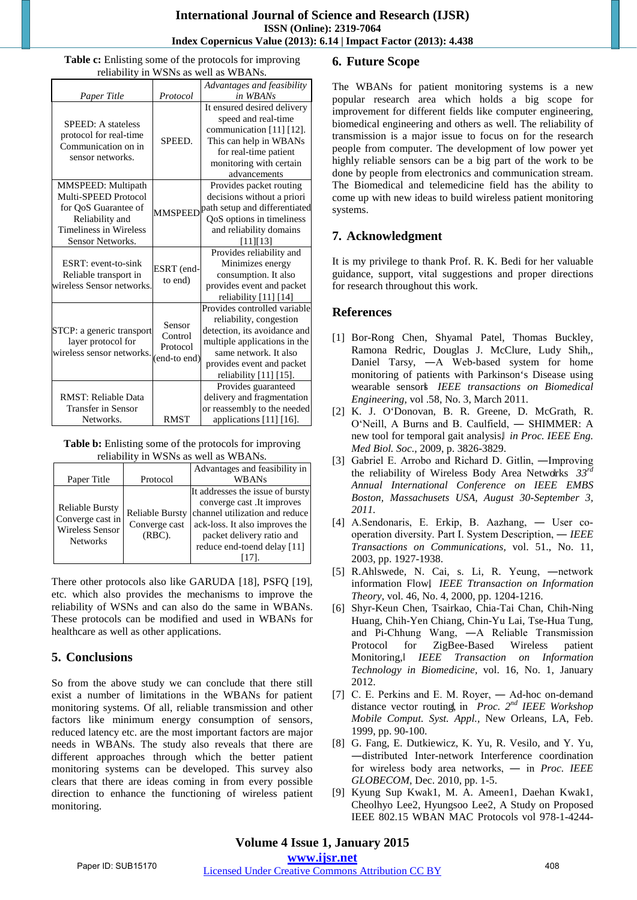**Table c:** Enlisting some of the protocols for improving reliability in WSNs as well as WBANs.

|                            |                       | Advantages and feasibility    |
|----------------------------|-----------------------|-------------------------------|
|                            |                       |                               |
| Paper Title                | Protocol              | in WBANs                      |
|                            |                       | It ensured desired delivery   |
| <b>SPEED:</b> A stateless  | SPEED.                | speed and real-time           |
| protocol for real-time     |                       | communication [11] [12].      |
| Communication on in        |                       | This can help in WBANs        |
| sensor networks.           |                       | for real-time patient         |
|                            |                       | monitoring with certain       |
|                            |                       | advancements                  |
| <b>MMSPEED:</b> Multipath  |                       | Provides packet routing       |
| Multi-SPEED Protocol       |                       | decisions without a priori    |
| for QoS Guarantee of       | <b>MMSPEED</b>        | path setup and differentiated |
| Reliability and            |                       | QoS options in timeliness     |
| Timeliness in Wireless     |                       | and reliability domains       |
| Sensor Networks.           |                       | [11][13]                      |
|                            | ESRT (end-<br>to end) | Provides reliability and      |
| ESRT: event-to-sink        |                       | Minimizes energy              |
| Reliable transport in      |                       | consumption. It also          |
| wireless Sensor networks.  |                       | provides event and packet     |
|                            |                       | reliability [11] [14]         |
|                            |                       | Provides controlled variable  |
|                            | Sensor                | reliability, congestion       |
| STCP: a generic transport  | Control               | detection, its avoidance and  |
| layer protocol for         | Protocol              | multiple applications in the  |
| wireless sensor networks.  | (end-to end)          | same network. It also         |
|                            |                       | provides event and packet     |
|                            |                       | reliability [11] [15].        |
|                            |                       | Provides guaranteed           |
| <b>RMST: Reliable Data</b> |                       | delivery and fragmentation    |
| <b>Transfer in Sensor</b>  |                       | or reassembly to the needed   |
| Networks.                  | RMST                  | applications [11] [16].       |

**Table b:** Enlisting some of the protocols for improving reliability in WSNs as well as WBANs.

|                                            |                        | Advantages and feasibility in    |  |
|--------------------------------------------|------------------------|----------------------------------|--|
| Paper Title                                | Protocol               | <b>WBANs</b>                     |  |
|                                            |                        | It addresses the issue of bursty |  |
| <b>Reliable Bursty</b><br>Converge cast in | <b>Reliable Bursty</b> | converge cast .It improves       |  |
|                                            |                        | channel utilization and reduce   |  |
| <b>Wireless Sensor</b>                     | Converge cast          | ack-loss. It also improves the   |  |
| <b>Networks</b>                            | $(RBC)$ .              | packet delivery ratio and        |  |
|                                            |                        | reduce end-toend delay [11]      |  |
|                                            |                        |                                  |  |

There other protocols also like GARUDA [18], PSFQ [19], etc. which also provides the mechanisms to improve the reliability of WSNs and can also do the same in WBANs. These protocols can be modified and used in WBANs for healthcare as well as other applications.

## **5. Conclusions**

So from the above study we can conclude that there still exist a number of limitations in the WBANs for patient monitoring systems. Of all, reliable transmission and other factors like minimum energy consumption of sensors, reduced latency etc. are the most important factors are major needs in WBANs. The study also reveals that there are different approaches through which the better patient monitoring systems can be developed. This survey also clears that there are ideas coming in from every possible direction to enhance the functioning of wireless patient monitoring.

## **6. Future Scope**

The WBANs for patient monitoring systems is a new popular research area which holds a big scope for improvement for different fields like computer engineering, biomedical engineering and others as well. The reliability of transmission is a major issue to focus on for the research people from computer. The development of low power yet highly reliable sensors can be a big part of the work to be done by people from electronics and communication stream. The Biomedical and telemedicine field has the ability to come up with new ideas to build wireless patient monitoring systems.

## **7. Acknowledgment**

It is my privilege to thank Prof. R. K. Bedi for her valuable guidance, support, vital suggestions and proper directions for research throughout this work.

## **References**

- [1] Bor-Rong Chen, Shyamal Patel, Thomas Buckley, Ramona Redric, Douglas J. McClure, Ludy Shih,, Daniel Tarsy, ―A Web-based system for home monitoring of patients with Parkinson's Disease using wearable sensors‖ *IEEE transactions on Biomedical Engineering,* vol .58, No. 3, March 2011*.*
- [2] K. J. O'Donovan, B. R. Greene, D. McGrath, R. O'Neill, A Burns and B. Caulfield, ― SHIMMER: A new tool for temporal gait analysis,‖ *in Proc. IEEE Eng. Med Biol. Soc.,* 2009, p. 3826-3829.
- [3] Gabriel E. Arrobo and Richard D. Gitlin, ―Improving the reliability of Wireless Body Area Networks  $33<sup>rd</sup>$ *Annual International Conference on IEEE EMBS Boston, Massachusets USA, August 30-September 3, 2011.*
- [4] A.Sendonaris, E. Erkip, B. Aazhang, ― User cooperation diversity. Part I. System Description, ― *IEEE Transactions on Communications,* vol. 51., No. 11, 2003, pp. 1927-1938.
- [5] R.Ahlswede, N. Cai, s. Li, R. Yeung, ―network information Flow,‖ *IEEE Ttransaction on Information Theory*, vol. 46, No. 4, 2000, pp. 1204-1216.
- [6] Shyr-Keun Chen, Tsairkao, Chia-Tai Chan, Chih-Ning Huang, Chih-Yen Chiang, Chin-Yu Lai, Tse-Hua Tung, and Pi-Chhung Wang, ―A Reliable Transmission Protocol for ZigBee-Based Wireless patient Monitoring,‖ *IEEE Transaction on Information Technology in Biomedicine,* vol. 16, No. 1, January 2012.
- [7] C. E. Perkins and E. M. Royer, Ad-hoc on-demand distance vector routing, in *Proc.* 2<sup>*nd*</sup> *IEEE Workshop Mobile Comput. Syst. Appl.,* New Orleans, LA, Feb. 1999, pp. 90-100.
- [8] G. Fang, E. Dutkiewicz, K. Yu, R. Vesilo, and Y. Yu, ―distributed Inter-network Interference coordination for wireless body area networks, ― in *Proc. IEEE GLOBECOM*, Dec. 2010, pp. 1-5.
- [9] Kyung Sup Kwak1, M. A. Ameen1, Daehan Kwak1, Cheolhyo Lee2, Hyungsoo Lee2, A Study on Proposed IEEE 802.15 WBAN MAC Protocols vol 978-1-4244-